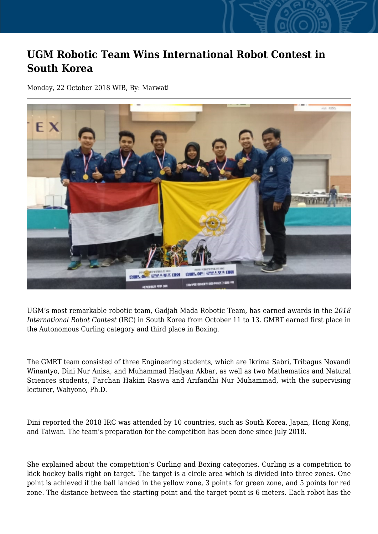## **UGM Robotic Team Wins International Robot Contest in South Korea**

Monday, 22 October 2018 WIB, By: Marwati



UGM's most remarkable robotic team, Gadjah Mada Robotic Team, has earned awards in the *2018 International Robot Contest* (IRC) in South Korea from October 11 to 13. GMRT earned first place in the Autonomous Curling category and third place in Boxing.

The GMRT team consisted of three Engineering students, which are Ikrima Sabri, Tribagus Novandi Winantyo, Dini Nur Anisa, and Muhammad Hadyan Akbar, as well as two Mathematics and Natural Sciences students, Farchan Hakim Raswa and Arifandhi Nur Muhammad, with the supervising lecturer, Wahyono, Ph.D.

Dini reported the 2018 IRC was attended by 10 countries, such as South Korea, Japan, Hong Kong, and Taiwan. The team's preparation for the competition has been done since July 2018.

She explained about the competition's Curling and Boxing categories. Curling is a competition to kick hockey balls right on target. The target is a circle area which is divided into three zones. One point is achieved if the ball landed in the yellow zone, 3 points for green zone, and 5 points for red zone. The distance between the starting point and the target point is 6 meters. Each robot has the